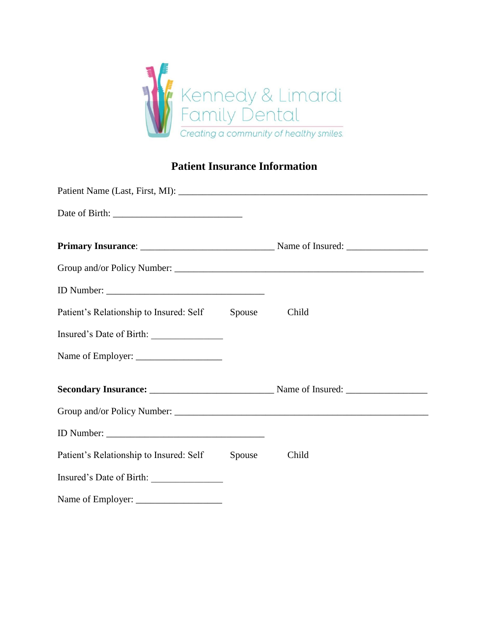

# **Patient Insurance Information**

| Patient's Relationship to Insured: Self | Spouse | Child |  |
|-----------------------------------------|--------|-------|--|
| Insured's Date of Birth:                |        |       |  |
|                                         |        |       |  |
|                                         |        |       |  |
|                                         |        |       |  |
|                                         |        |       |  |
| Patient's Relationship to Insured: Self | Spouse | Child |  |
| Insured's Date of Birth:                |        |       |  |
|                                         |        |       |  |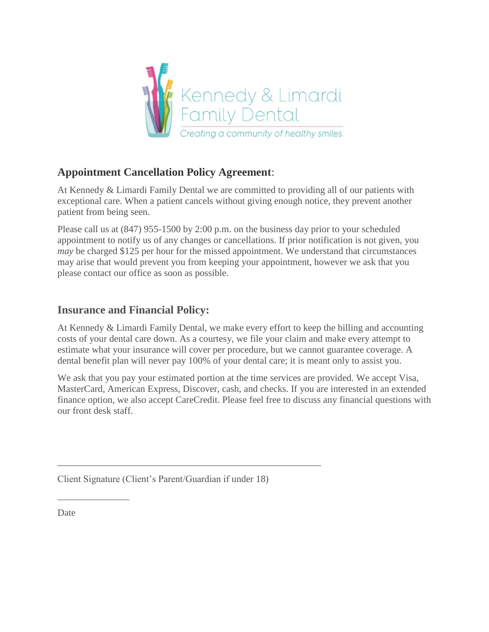

## **Appointment Cancellation Policy Agreement**:

At Kennedy & Limardi Family Dental we are committed to providing all of our patients with exceptional care. When a patient cancels without giving enough notice, they prevent another patient from being seen.

Please call us at (847) 955-1500 by 2:00 p.m. on the business day prior to your scheduled appointment to notify us of any changes or cancellations. If prior notification is not given, you *may* be charged \$125 per hour for the missed appointment. We understand that circumstances may arise that would prevent you from keeping your appointment, however we ask that you please contact our office as soon as possible.

## **Insurance and Financial Policy:**

At Kennedy & Limardi Family Dental, we make every effort to keep the billing and accounting costs of your dental care down. As a courtesy, we file your claim and make every attempt to estimate what your insurance will cover per procedure, but we cannot guarantee coverage. A dental benefit plan will never pay 100% of your dental care; it is meant only to assist you.

We ask that you pay your estimated portion at the time services are provided. We accept Visa, MasterCard, American Express, Discover, cash, and checks. If you are interested in an extended finance option, we also accept CareCredit. Please feel free to discuss any financial questions with our front desk staff.

Client Signature (Client's Parent/Guardian if under 18)

\_\_\_\_\_\_\_\_\_\_\_\_\_\_\_\_\_\_\_\_\_\_\_\_\_\_\_\_\_\_\_\_\_\_\_\_\_\_\_\_\_\_\_\_\_\_\_\_\_\_\_\_\_\_\_

Date

\_\_\_\_\_\_\_\_\_\_\_\_\_\_\_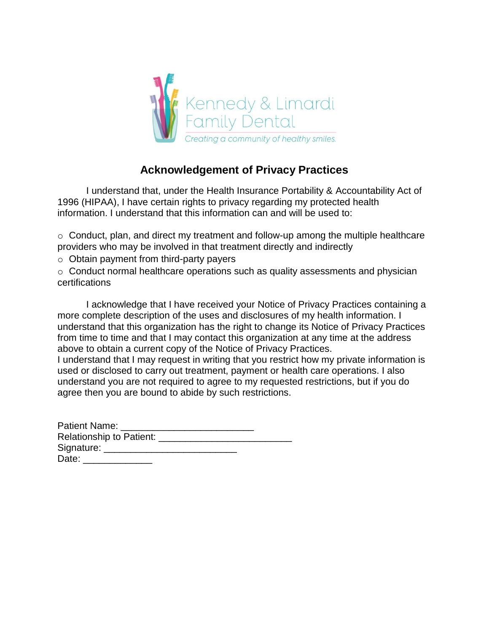

# **Acknowledgement of Privacy Practices**

I understand that, under the Health Insurance Portability & Accountability Act of 1996 (HIPAA), I have certain rights to privacy regarding my protected health information. I understand that this information can and will be used to:

 $\circ$  Conduct, plan, and direct my treatment and follow-up among the multiple healthcare providers who may be involved in that treatment directly and indirectly

o Obtain payment from third-party payers

o Conduct normal healthcare operations such as quality assessments and physician certifications

I acknowledge that I have received your Notice of Privacy Practices containing a more complete description of the uses and disclosures of my health information. I understand that this organization has the right to change its Notice of Privacy Practices from time to time and that I may contact this organization at any time at the address above to obtain a current copy of the Notice of Privacy Practices.

I understand that I may request in writing that you restrict how my private information is used or disclosed to carry out treatment, payment or health care operations. I also understand you are not required to agree to my requested restrictions, but if you do agree then you are bound to abide by such restrictions.

| Patient Name:                             |  |
|-------------------------------------------|--|
| Relationship to Patient: ________________ |  |
| Signature: _____________                  |  |
| Date: <b>Date</b>                         |  |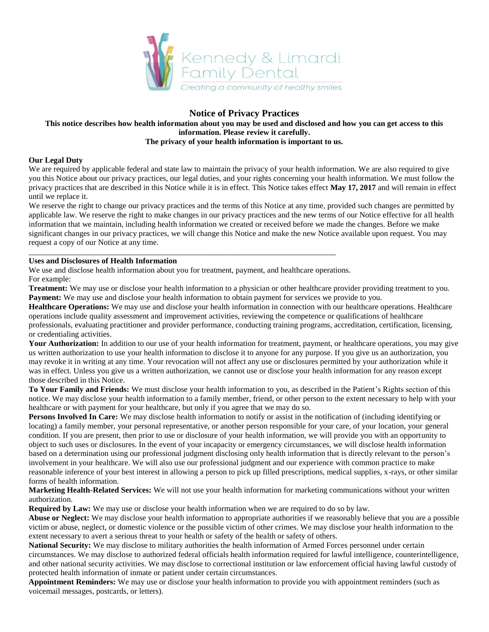

### **Notice of Privacy Practices**

#### **This notice describes how health information about you may be used and disclosed and how you can get access to this information. Please review it carefully. The privacy of your health information is important to us.**

### **Our Legal Duty**

We are required by applicable federal and state law to maintain the privacy of your health information. We are also required to give you this Notice about our privacy practices, our legal duties, and your rights concerning your health information. We must follow the privacy practices that are described in this Notice while it is in effect. This Notice takes effect **May 17, 2017** and will remain in effect until we replace it.

We reserve the right to change our privacy practices and the terms of this Notice at any time, provided such changes are permitted by applicable law. We reserve the right to make changes in our privacy practices and the new terms of our Notice effective for all health information that we maintain, including health information we created or received before we made the changes. Before we make significant changes in our privacy practices, we will change this Notice and make the new Notice available upon request. You may request a copy of our Notice at any time.

#### **Uses and Disclosures of Health Information**

We use and disclose health information about you for treatment, payment, and healthcare operations. For example:

\_\_\_\_\_\_\_\_\_\_\_\_\_\_\_\_\_\_\_\_\_\_\_\_\_\_\_\_\_\_\_\_\_\_\_\_\_\_\_\_\_\_\_\_\_\_\_\_\_\_\_\_\_\_\_\_\_\_\_\_\_\_\_\_\_\_\_\_\_\_\_\_\_\_\_\_\_

**Treatment:** We may use or disclose your health information to a physician or other healthcare provider providing treatment to you. **Payment:** We may use and disclose your health information to obtain payment for services we provide to you.

**Healthcare Operations:** We may use and disclose your health information in connection with our healthcare operations. Healthcare operations include quality assessment and improvement activities, reviewing the competence or qualifications of healthcare professionals, evaluating practitioner and provider performance, conducting training programs, accreditation, certification, licensing, or credentialing activities.

**Your Authorization:** In addition to our use of your health information for treatment, payment, or healthcare operations, you may give us written authorization to use your health information to disclose it to anyone for any purpose. If you give us an authorization, you may revoke it in writing at any time. Your revocation will not affect any use or disclosures permitted by your authorization while it was in effect. Unless you give us a written authorization, we cannot use or disclose your health information for any reason except those described in this Notice.

**To Your Family and Friends:** We must disclose your health information to you, as described in the Patient's Rights section of this notice. We may disclose your health information to a family member, friend, or other person to the extent necessary to help with your healthcare or with payment for your healthcare, but only if you agree that we may do so.

**Persons Involved In Care:** We may disclose health information to notify or assist in the notification of (including identifying or locating) a family member, your personal representative, or another person responsible for your care, of your location, your general condition. If you are present, then prior to use or disclosure of your health information, we will provide you with an opportunity to object to such uses or disclosures. In the event of your incapacity or emergency circumstances, we will disclose health information based on a determination using our professional judgment disclosing only health information that is directly relevant to the person's involvement in your healthcare. We will also use our professional judgment and our experience with common practice to make reasonable inference of your best interest in allowing a person to pick up filled prescriptions, medical supplies, x-rays, or other similar forms of health information.

**Marketing Health-Related Services:** We will not use your health information for marketing communications without your written authorization.

**Required by Law:** We may use or disclose your health information when we are required to do so by law.

**Abuse or Neglect:** We may disclose your health information to appropriate authorities if we reasonably believe that you are a possible victim or abuse, neglect, or domestic violence or the possible victim of other crimes. We may disclose your health information to the extent necessary to avert a serious threat to your health or safety of the health or safety of others.

**National Security:** We may disclose to military authorities the health information of Armed Forces personnel under certain circumstances. We may disclose to authorized federal officials health information required for lawful intelligence, counterintelligence, and other national security activities. We may disclose to correctional institution or law enforcement official having lawful custody of protected health information of inmate or patient under certain circumstances.

**Appointment Reminders:** We may use or disclose your health information to provide you with appointment reminders (such as voicemail messages, postcards, or letters).